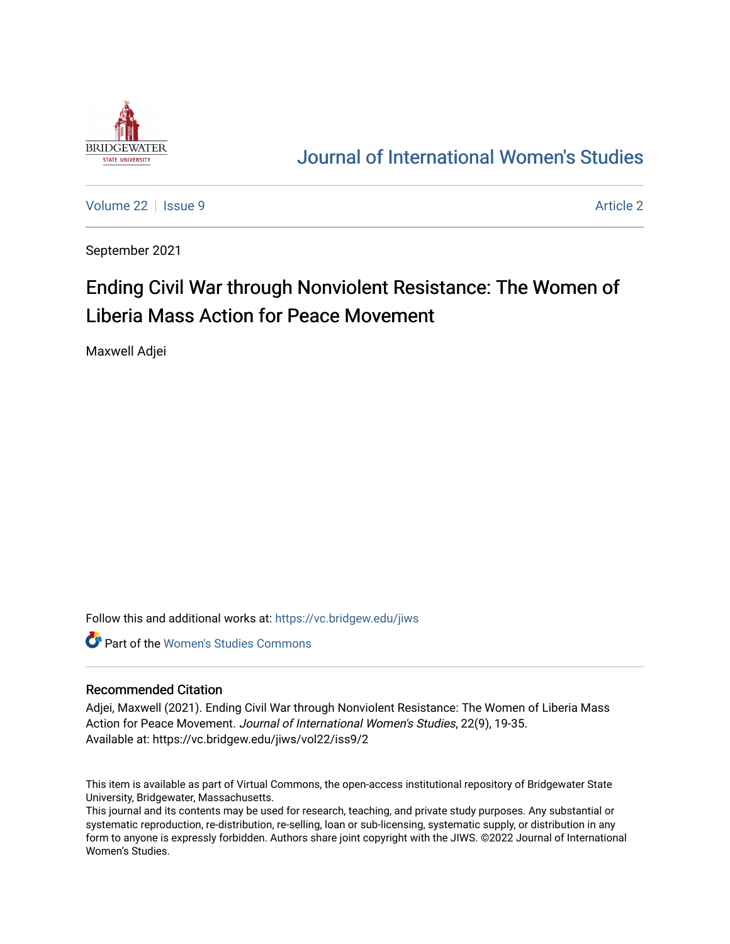

## [Journal of International Women's Studies](https://vc.bridgew.edu/jiws)

[Volume 22](https://vc.bridgew.edu/jiws/vol22) | [Issue 9](https://vc.bridgew.edu/jiws/vol22/iss9) [Article 2](https://vc.bridgew.edu/jiws/vol22/iss9/2) | Article 2 Article 2 | Article 2 Article 2 | Article 2 | Article 2 | Article 2

September 2021

# Ending Civil War through Nonviolent Resistance: The Women of Liberia Mass Action for Peace Movement

Maxwell Adjei

Follow this and additional works at: [https://vc.bridgew.edu/jiws](https://vc.bridgew.edu/jiws?utm_source=vc.bridgew.edu%2Fjiws%2Fvol22%2Fiss9%2F2&utm_medium=PDF&utm_campaign=PDFCoverPages)

**C** Part of the Women's Studies Commons

#### Recommended Citation

Adjei, Maxwell (2021). Ending Civil War through Nonviolent Resistance: The Women of Liberia Mass Action for Peace Movement. Journal of International Women's Studies, 22(9), 19-35. Available at: https://vc.bridgew.edu/jiws/vol22/iss9/2

This item is available as part of Virtual Commons, the open-access institutional repository of Bridgewater State University, Bridgewater, Massachusetts.

This journal and its contents may be used for research, teaching, and private study purposes. Any substantial or systematic reproduction, re-distribution, re-selling, loan or sub-licensing, systematic supply, or distribution in any form to anyone is expressly forbidden. Authors share joint copyright with the JIWS. ©2022 Journal of International Women's Studies.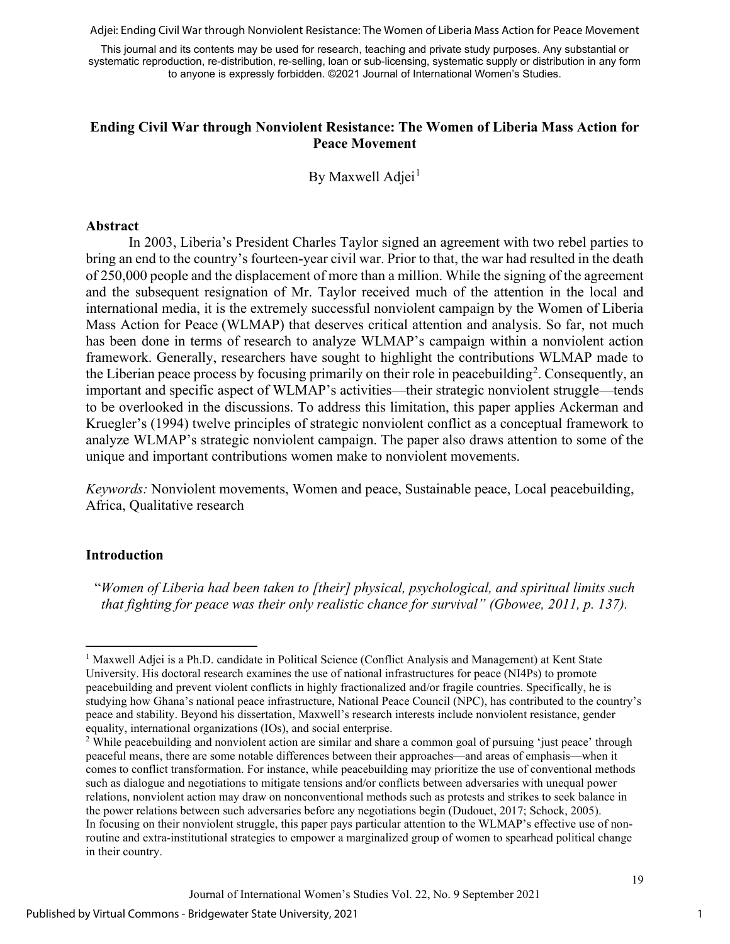Adjei: Ending Civil War through Nonviolent Resistance: The Women of Liberia Mass Action for Peace Movement

This journal and its contents may be used for research, teaching and private study purposes. Any substantial or systematic reproduction, re-distribution, re-selling, loan or sub-licensing, systematic supply or distribution in any form to anyone is expressly forbidden. ©2021 Journal of International Women's Studies.

## **Ending Civil War through Nonviolent Resistance: The Women of Liberia Mass Action for Peace Movement**

By Maxwell Adjei<sup>[1](#page-1-0)</sup>

#### **Abstract**

In 2003, Liberia's President Charles Taylor signed an agreement with two rebel parties to bring an end to the country's fourteen-year civil war. Prior to that, the war had resulted in the death of 250,000 people and the displacement of more than a million. While the signing of the agreement and the subsequent resignation of Mr. Taylor received much of the attention in the local and international media, it is the extremely successful nonviolent campaign by the Women of Liberia Mass Action for Peace (WLMAP) that deserves critical attention and analysis. So far, not much has been done in terms of research to analyze WLMAP's campaign within a nonviolent action framework. Generally, researchers have sought to highlight the contributions WLMAP made to the Liberian peace process by focusing primarily on their role in peacebuilding<sup>[2](#page-1-1)</sup>. Consequently, an important and specific aspect of WLMAP's activities—their strategic nonviolent struggle—tends to be overlooked in the discussions. To address this limitation, this paper applies Ackerman and Kruegler's (1994) twelve principles of strategic nonviolent conflict as a conceptual framework to analyze WLMAP's strategic nonviolent campaign. The paper also draws attention to some of the unique and important contributions women make to nonviolent movements.

*Keywords:* Nonviolent movements, Women and peace, Sustainable peace, Local peacebuilding, Africa, Qualitative research

## **Introduction**

"*Women of Liberia had been taken to [their] physical, psychological, and spiritual limits such that fighting for peace was their only realistic chance for survival" (Gbowee, 2011, p. 137).*

1

<span id="page-1-0"></span><sup>&</sup>lt;sup>1</sup> Maxwell Adjei is a Ph.D. candidate in Political Science (Conflict Analysis and Management) at Kent State University. His doctoral research examines the use of national infrastructures for peace (NI4Ps) to promote peacebuilding and prevent violent conflicts in highly fractionalized and/or fragile countries. Specifically, he is studying how Ghana's national peace infrastructure, National Peace Council (NPC), has contributed to the country's peace and stability. Beyond his dissertation, Maxwell's research interests include nonviolent resistance, gender equality, international organizations (IOs), and social enterprise.

<span id="page-1-1"></span><sup>&</sup>lt;sup>2</sup> While peacebuilding and nonviolent action are similar and share a common goal of pursuing 'just peace' through peaceful means, there are some notable differences between their approaches—and areas of emphasis—when it comes to conflict transformation. For instance, while peacebuilding may prioritize the use of conventional methods such as dialogue and negotiations to mitigate tensions and/or conflicts between adversaries with unequal power relations, nonviolent action may draw on nonconventional methods such as protests and strikes to seek balance in the power relations between such adversaries before any negotiations begin (Dudouet, 2017; Schock, 2005). In focusing on their nonviolent struggle, this paper pays particular attention to the WLMAP's effective use of nonroutine and extra-institutional strategies to empower a marginalized group of women to spearhead political change in their country.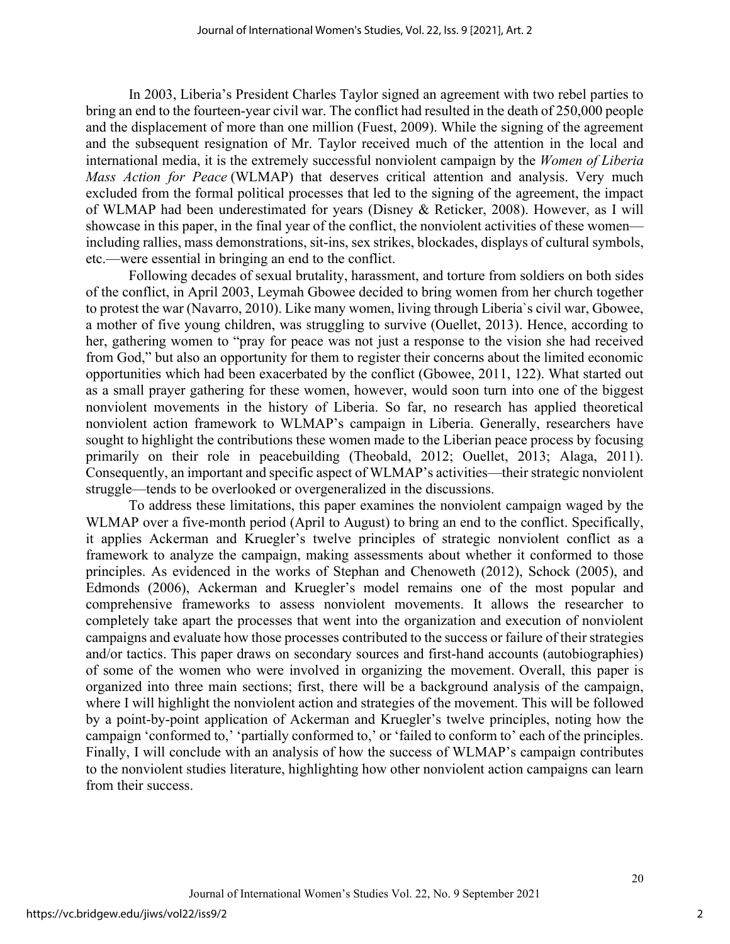In 2003, Liberia's President Charles Taylor signed an agreement with two rebel parties to bring an end to the fourteen-year civil war. The conflict had resulted in the death of 250,000 people and the displacement of more than one million (Fuest, 2009). While the signing of the agreement and the subsequent resignation of Mr. Taylor received much of the attention in the local and international media, it is the extremely successful nonviolent campaign by the *Women of Liberia Mass Action for Peace* (WLMAP) that deserves critical attention and analysis. Very much excluded from the formal political processes that led to the signing of the agreement, the impact of WLMAP had been underestimated for years (Disney & Reticker, 2008). However, as I will showcase in this paper, in the final year of the conflict, the nonviolent activities of these women including rallies, mass demonstrations, sit-ins, sex strikes, blockades, displays of cultural symbols, etc.—were essential in bringing an end to the conflict.

Following decades of sexual brutality, harassment, and torture from soldiers on both sides of the conflict, in April 2003, Leymah Gbowee decided to bring women from her church together to protest the war (Navarro, 2010). Like many women, living through Liberia`s civil war, Gbowee, a mother of five young children, was struggling to survive (Ouellet, 2013). Hence, according to her, gathering women to "pray for peace was not just a response to the vision she had received from God," but also an opportunity for them to register their concerns about the limited economic opportunities which had been exacerbated by the conflict (Gbowee, 2011, 122). What started out as a small prayer gathering for these women, however, would soon turn into one of the biggest nonviolent movements in the history of Liberia. So far, no research has applied theoretical nonviolent action framework to WLMAP's campaign in Liberia. Generally, researchers have sought to highlight the contributions these women made to the Liberian peace process by focusing primarily on their role in peacebuilding (Theobald, 2012; Ouellet, 2013; Alaga, 2011). Consequently, an important and specific aspect of WLMAP's activities—their strategic nonviolent struggle—tends to be overlooked or overgeneralized in the discussions.

To address these limitations, this paper examines the nonviolent campaign waged by the WLMAP over a five-month period (April to August) to bring an end to the conflict. Specifically, it applies Ackerman and Kruegler's twelve principles of strategic nonviolent conflict as a framework to analyze the campaign, making assessments about whether it conformed to those principles. As evidenced in the works of Stephan and Chenoweth (2012), Schock (2005), and Edmonds (2006), Ackerman and Kruegler's model remains one of the most popular and comprehensive frameworks to assess nonviolent movements. It allows the researcher to completely take apart the processes that went into the organization and execution of nonviolent campaigns and evaluate how those processes contributed to the success or failure of their strategies and/or tactics. This paper draws on secondary sources and first-hand accounts (autobiographies) of some of the women who were involved in organizing the movement. Overall, this paper is organized into three main sections; first, there will be a background analysis of the campaign, where I will highlight the nonviolent action and strategies of the movement. This will be followed by a point-by-point application of Ackerman and Kruegler's twelve principles, noting how the campaign 'conformed to,' 'partially conformed to,' or 'failed to conform to' each of the principles. Finally, I will conclude with an analysis of how the success of WLMAP's campaign contributes to the nonviolent studies literature, highlighting how other nonviolent action campaigns can learn from their success.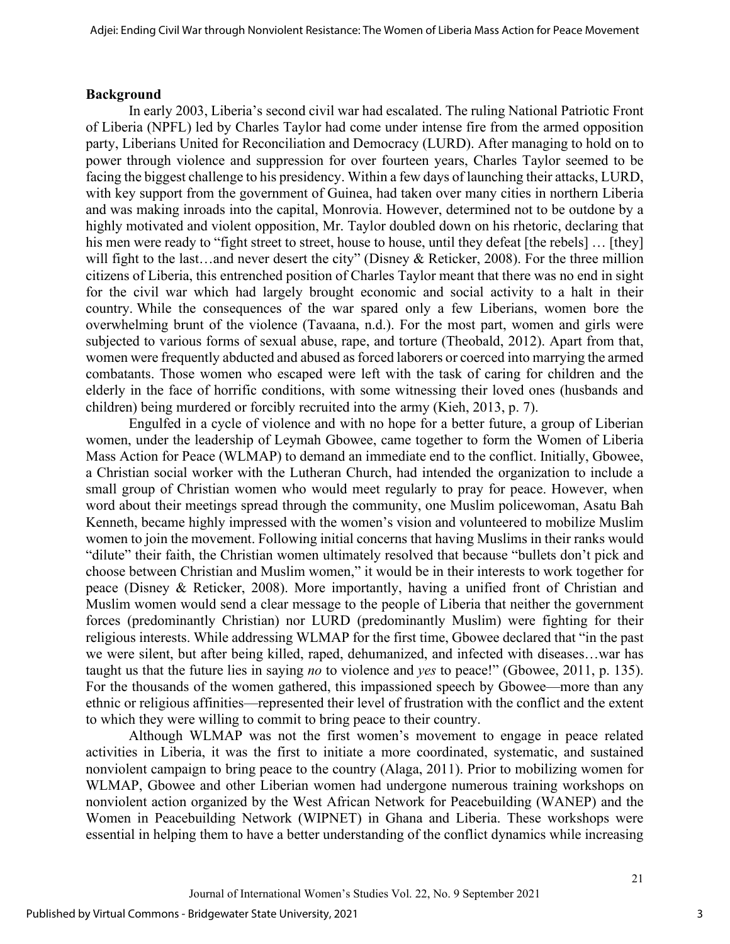#### **Background**

In early 2003, Liberia's second civil war had escalated. The ruling National Patriotic Front of Liberia (NPFL) led by Charles Taylor had come under intense fire from the armed opposition party, Liberians United for Reconciliation and Democracy (LURD). After managing to hold on to power through violence and suppression for over fourteen years, Charles Taylor seemed to be facing the biggest challenge to his presidency. Within a few days of launching their attacks, LURD, with key support from the government of Guinea, had taken over many cities in northern Liberia and was making inroads into the capital, Monrovia. However, determined not to be outdone by a highly motivated and violent opposition, Mr. Taylor doubled down on his rhetoric, declaring that his men were ready to "fight street to street, house to house, until they defeat [the rebels] … [they] will fight to the last...and never desert the city" (Disney & Reticker, 2008). For the three million citizens of Liberia, this entrenched position of Charles Taylor meant that there was no end in sight for the civil war which had largely brought economic and social activity to a halt in their country. While the consequences of the war spared only a few Liberians, women bore the overwhelming brunt of the violence (Tavaana, n.d.). For the most part, women and girls were subjected to various forms of sexual abuse, rape, and torture (Theobald, 2012). Apart from that, women were frequently abducted and abused as forced laborers or coerced into marrying the armed combatants. Those women who escaped were left with the task of caring for children and the elderly in the face of horrific conditions, with some witnessing their loved ones (husbands and children) being murdered or forcibly recruited into the army (Kieh, 2013, p. 7).

Engulfed in a cycle of violence and with no hope for a better future, a group of Liberian women, under the leadership of Leymah Gbowee, came together to form the Women of Liberia Mass Action for Peace (WLMAP) to demand an immediate end to the conflict. Initially, Gbowee, a Christian social worker with the Lutheran Church, had intended the organization to include a small group of Christian women who would meet regularly to pray for peace. However, when word about their meetings spread through the community, one Muslim policewoman, Asatu Bah Kenneth, became highly impressed with the women's vision and volunteered to mobilize Muslim women to join the movement. Following initial concerns that having Muslims in their ranks would "dilute" their faith, the Christian women ultimately resolved that because "bullets don't pick and choose between Christian and Muslim women," it would be in their interests to work together for peace (Disney & Reticker, 2008). More importantly, having a unified front of Christian and Muslim women would send a clear message to the people of Liberia that neither the government forces (predominantly Christian) nor LURD (predominantly Muslim) were fighting for their religious interests. While addressing WLMAP for the first time, Gbowee declared that "in the past we were silent, but after being killed, raped, dehumanized, and infected with diseases…war has taught us that the future lies in saying *no* to violence and *yes* to peace!" (Gbowee, 2011, p. 135). For the thousands of the women gathered, this impassioned speech by Gbowee—more than any ethnic or religious affinities—represented their level of frustration with the conflict and the extent to which they were willing to commit to bring peace to their country.

Although WLMAP was not the first women's movement to engage in peace related activities in Liberia, it was the first to initiate a more coordinated, systematic, and sustained nonviolent campaign to bring peace to the country (Alaga, 2011). Prior to mobilizing women for WLMAP, Gbowee and other Liberian women had undergone numerous training workshops on nonviolent action organized by the West African Network for Peacebuilding (WANEP) and the Women in Peacebuilding Network (WIPNET) in Ghana and Liberia. These workshops were essential in helping them to have a better understanding of the conflict dynamics while increasing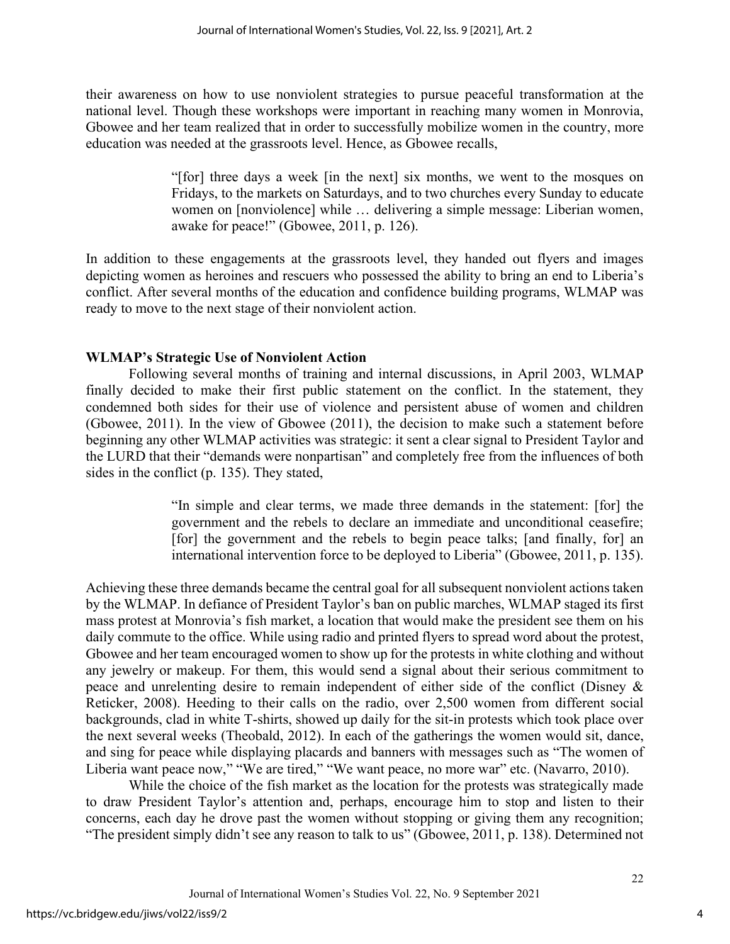their awareness on how to use nonviolent strategies to pursue peaceful transformation at the national level. Though these workshops were important in reaching many women in Monrovia, Gbowee and her team realized that in order to successfully mobilize women in the country, more education was needed at the grassroots level. Hence, as Gbowee recalls,

> "[for] three days a week [in the next] six months, we went to the mosques on Fridays, to the markets on Saturdays, and to two churches every Sunday to educate women on [nonviolence] while … delivering a simple message: Liberian women, awake for peace!" (Gbowee, 2011, p. 126).

In addition to these engagements at the grassroots level, they handed out flyers and images depicting women as heroines and rescuers who possessed the ability to bring an end to Liberia's conflict. After several months of the education and confidence building programs, WLMAP was ready to move to the next stage of their nonviolent action.

## **WLMAP's Strategic Use of Nonviolent Action**

Following several months of training and internal discussions, in April 2003, WLMAP finally decided to make their first public statement on the conflict. In the statement, they condemned both sides for their use of violence and persistent abuse of women and children (Gbowee, 2011). In the view of Gbowee (2011), the decision to make such a statement before beginning any other WLMAP activities was strategic: it sent a clear signal to President Taylor and the LURD that their "demands were nonpartisan" and completely free from the influences of both sides in the conflict (p. 135). They stated,

> "In simple and clear terms, we made three demands in the statement: [for] the government and the rebels to declare an immediate and unconditional ceasefire; [for] the government and the rebels to begin peace talks; [and finally, for] an international intervention force to be deployed to Liberia" (Gbowee, 2011, p. 135).

Achieving these three demands became the central goal for all subsequent nonviolent actions taken by the WLMAP. In defiance of President Taylor's ban on public marches, WLMAP staged its first mass protest at Monrovia's fish market, a location that would make the president see them on his daily commute to the office. While using radio and printed flyers to spread word about the protest, Gbowee and her team encouraged women to show up for the protests in white clothing and without any jewelry or makeup. For them, this would send a signal about their serious commitment to peace and unrelenting desire to remain independent of either side of the conflict (Disney & Reticker, 2008). Heeding to their calls on the radio, over 2,500 women from different social backgrounds, clad in white T-shirts, showed up daily for the sit-in protests which took place over the next several weeks (Theobald, 2012). In each of the gatherings the women would sit, dance, and sing for peace while displaying placards and banners with messages such as "The women of Liberia want peace now," "We are tired," "We want peace, no more war" etc. (Navarro, 2010).

While the choice of the fish market as the location for the protests was strategically made to draw President Taylor's attention and, perhaps, encourage him to stop and listen to their concerns, each day he drove past the women without stopping or giving them any recognition; "The president simply didn't see any reason to talk to us" (Gbowee, 2011, p. 138). Determined not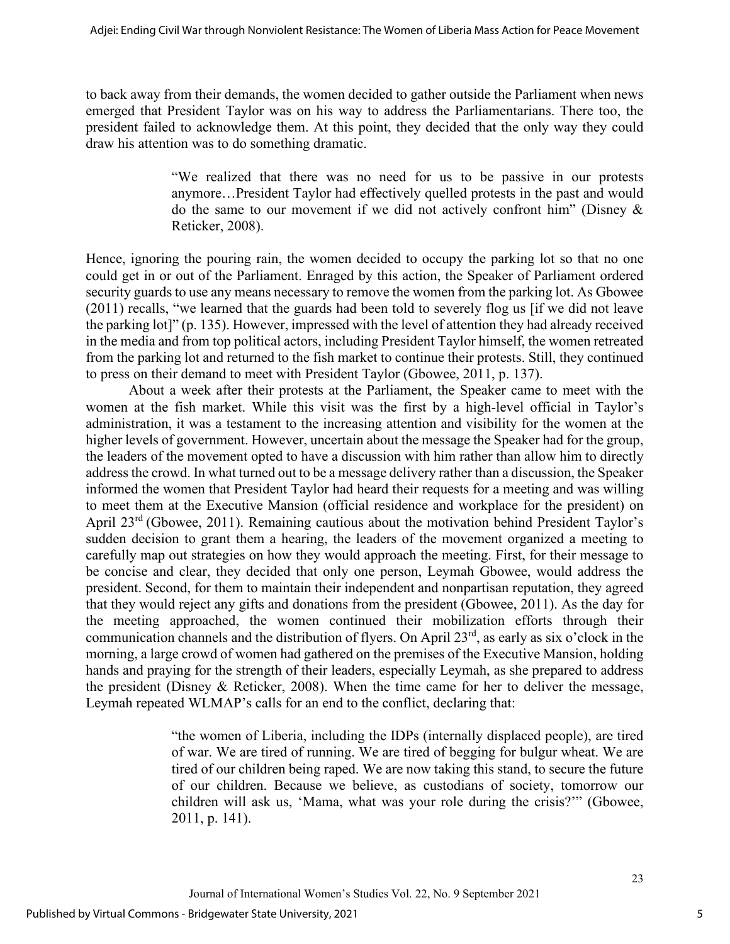to back away from their demands, the women decided to gather outside the Parliament when news emerged that President Taylor was on his way to address the Parliamentarians. There too, the president failed to acknowledge them. At this point, they decided that the only way they could draw his attention was to do something dramatic.

> "We realized that there was no need for us to be passive in our protests anymore…President Taylor had effectively quelled protests in the past and would do the same to our movement if we did not actively confront him" (Disney & Reticker, 2008).

Hence, ignoring the pouring rain, the women decided to occupy the parking lot so that no one could get in or out of the Parliament. Enraged by this action, the Speaker of Parliament ordered security guards to use any means necessary to remove the women from the parking lot. As Gbowee (2011) recalls, "we learned that the guards had been told to severely flog us [if we did not leave the parking lot]" (p. 135). However, impressed with the level of attention they had already received in the media and from top political actors, including President Taylor himself, the women retreated from the parking lot and returned to the fish market to continue their protests. Still, they continued to press on their demand to meet with President Taylor (Gbowee, 2011, p. 137).

About a week after their protests at the Parliament, the Speaker came to meet with the women at the fish market. While this visit was the first by a high-level official in Taylor's administration, it was a testament to the increasing attention and visibility for the women at the higher levels of government. However, uncertain about the message the Speaker had for the group, the leaders of the movement opted to have a discussion with him rather than allow him to directly address the crowd. In what turned out to be a message delivery rather than a discussion, the Speaker informed the women that President Taylor had heard their requests for a meeting and was willing to meet them at the Executive Mansion (official residence and workplace for the president) on April 23<sup>rd</sup> (Gbowee, 2011). Remaining cautious about the motivation behind President Taylor's sudden decision to grant them a hearing, the leaders of the movement organized a meeting to carefully map out strategies on how they would approach the meeting. First, for their message to be concise and clear, they decided that only one person, Leymah Gbowee, would address the president. Second, for them to maintain their independent and nonpartisan reputation, they agreed that they would reject any gifts and donations from the president (Gbowee, 2011). As the day for the meeting approached, the women continued their mobilization efforts through their communication channels and the distribution of flyers. On April 23rd, as early as six o'clock in the morning, a large crowd of women had gathered on the premises of the Executive Mansion, holding hands and praying for the strength of their leaders, especially Leymah, as she prepared to address the president (Disney & Reticker, 2008). When the time came for her to deliver the message, Leymah repeated WLMAP's calls for an end to the conflict, declaring that:

> "the women of Liberia, including the IDPs (internally displaced people), are tired of war. We are tired of running. We are tired of begging for bulgur wheat. We are tired of our children being raped. We are now taking this stand, to secure the future of our children. Because we believe, as custodians of society, tomorrow our children will ask us, 'Mama, what was your role during the crisis?'" (Gbowee, 2011, p. 141).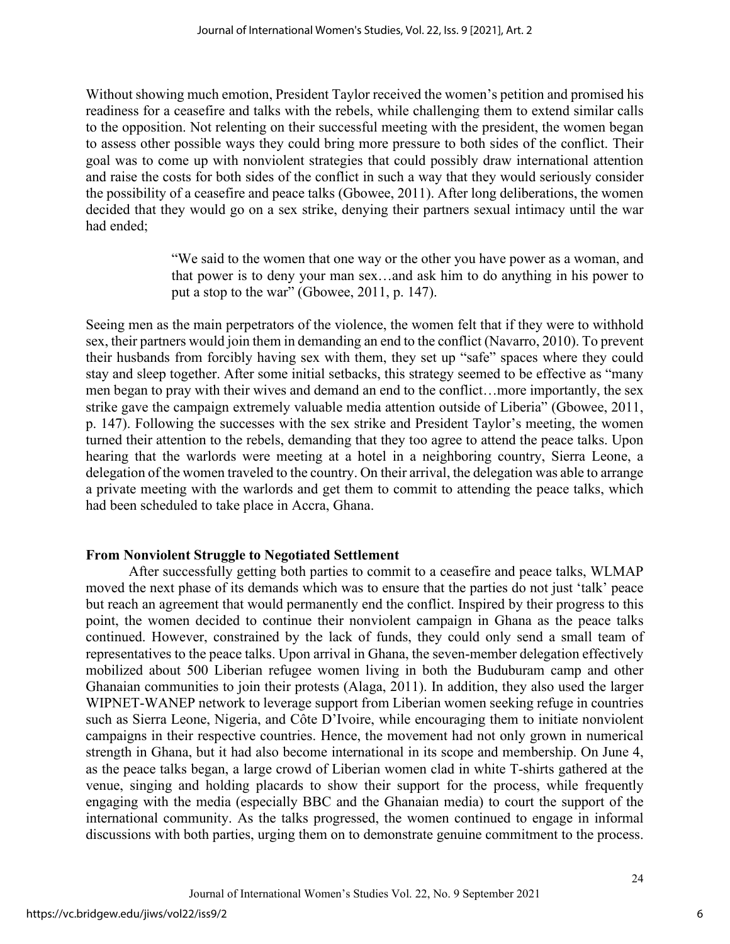Without showing much emotion, President Taylor received the women's petition and promised his readiness for a ceasefire and talks with the rebels, while challenging them to extend similar calls to the opposition. Not relenting on their successful meeting with the president, the women began to assess other possible ways they could bring more pressure to both sides of the conflict. Their goal was to come up with nonviolent strategies that could possibly draw international attention and raise the costs for both sides of the conflict in such a way that they would seriously consider the possibility of a ceasefire and peace talks (Gbowee, 2011). After long deliberations, the women decided that they would go on a sex strike, denying their partners sexual intimacy until the war had ended;

> "We said to the women that one way or the other you have power as a woman, and that power is to deny your man sex…and ask him to do anything in his power to put a stop to the war" (Gbowee, 2011, p. 147).

Seeing men as the main perpetrators of the violence, the women felt that if they were to withhold sex, their partners would join them in demanding an end to the conflict (Navarro, 2010). To prevent their husbands from forcibly having sex with them, they set up "safe" spaces where they could stay and sleep together. After some initial setbacks, this strategy seemed to be effective as "many men began to pray with their wives and demand an end to the conflict…more importantly, the sex strike gave the campaign extremely valuable media attention outside of Liberia" (Gbowee, 2011, p. 147). Following the successes with the sex strike and President Taylor's meeting, the women turned their attention to the rebels, demanding that they too agree to attend the peace talks. Upon hearing that the warlords were meeting at a hotel in a neighboring country, Sierra Leone, a delegation of the women traveled to the country. On their arrival, the delegation was able to arrange a private meeting with the warlords and get them to commit to attending the peace talks, which had been scheduled to take place in Accra, Ghana.

## **From Nonviolent Struggle to Negotiated Settlement**

After successfully getting both parties to commit to a ceasefire and peace talks, WLMAP moved the next phase of its demands which was to ensure that the parties do not just 'talk' peace but reach an agreement that would permanently end the conflict. Inspired by their progress to this point, the women decided to continue their nonviolent campaign in Ghana as the peace talks continued. However, constrained by the lack of funds, they could only send a small team of representatives to the peace talks. Upon arrival in Ghana, the seven-member delegation effectively mobilized about 500 Liberian refugee women living in both the Buduburam camp and other Ghanaian communities to join their protests (Alaga, 2011). In addition, they also used the larger WIPNET-WANEP network to leverage support from Liberian women seeking refuge in countries such as Sierra Leone, Nigeria, and Côte D'Ivoire, while encouraging them to initiate nonviolent campaigns in their respective countries. Hence, the movement had not only grown in numerical strength in Ghana, but it had also become international in its scope and membership. On June 4, as the peace talks began, a large crowd of Liberian women clad in white T-shirts gathered at the venue, singing and holding placards to show their support for the process, while frequently engaging with the media (especially BBC and the Ghanaian media) to court the support of the international community. As the talks progressed, the women continued to engage in informal discussions with both parties, urging them on to demonstrate genuine commitment to the process.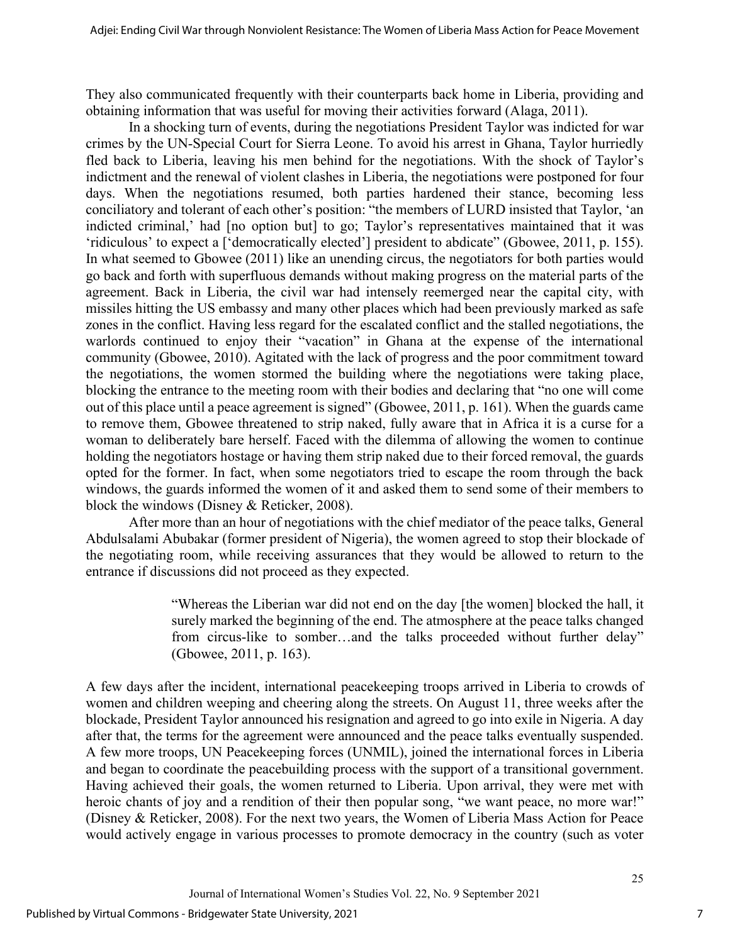They also communicated frequently with their counterparts back home in Liberia, providing and obtaining information that was useful for moving their activities forward (Alaga, 2011).

In a shocking turn of events, during the negotiations President Taylor was indicted for war crimes by the UN-Special Court for Sierra Leone. To avoid his arrest in Ghana, Taylor hurriedly fled back to Liberia, leaving his men behind for the negotiations. With the shock of Taylor's indictment and the renewal of violent clashes in Liberia, the negotiations were postponed for four days. When the negotiations resumed, both parties hardened their stance, becoming less conciliatory and tolerant of each other's position: "the members of LURD insisted that Taylor, 'an indicted criminal,' had [no option but] to go; Taylor's representatives maintained that it was 'ridiculous' to expect a ['democratically elected'] president to abdicate" (Gbowee, 2011, p. 155). In what seemed to Gbowee (2011) like an unending circus, the negotiators for both parties would go back and forth with superfluous demands without making progress on the material parts of the agreement. Back in Liberia, the civil war had intensely reemerged near the capital city, with missiles hitting the US embassy and many other places which had been previously marked as safe zones in the conflict. Having less regard for the escalated conflict and the stalled negotiations, the warlords continued to enjoy their "vacation" in Ghana at the expense of the international community (Gbowee, 2010). Agitated with the lack of progress and the poor commitment toward the negotiations, the women stormed the building where the negotiations were taking place, blocking the entrance to the meeting room with their bodies and declaring that "no one will come out of this place until a peace agreement is signed" (Gbowee, 2011, p. 161). When the guards came to remove them, Gbowee threatened to strip naked, fully aware that in Africa it is a curse for a woman to deliberately bare herself. Faced with the dilemma of allowing the women to continue holding the negotiators hostage or having them strip naked due to their forced removal, the guards opted for the former. In fact, when some negotiators tried to escape the room through the back windows, the guards informed the women of it and asked them to send some of their members to block the windows (Disney & Reticker, 2008).

After more than an hour of negotiations with the chief mediator of the peace talks, General Abdulsalami Abubakar (former president of Nigeria), the women agreed to stop their blockade of the negotiating room, while receiving assurances that they would be allowed to return to the entrance if discussions did not proceed as they expected.

> "Whereas the Liberian war did not end on the day [the women] blocked the hall, it surely marked the beginning of the end. The atmosphere at the peace talks changed from circus-like to somber…and the talks proceeded without further delay" (Gbowee, 2011, p. 163).

A few days after the incident, international peacekeeping troops arrived in Liberia to crowds of women and children weeping and cheering along the streets. On August 11, three weeks after the blockade, President Taylor announced his resignation and agreed to go into exile in Nigeria. A day after that, the terms for the agreement were announced and the peace talks eventually suspended. A few more troops, UN Peacekeeping forces (UNMIL), joined the international forces in Liberia and began to coordinate the peacebuilding process with the support of a transitional government. Having achieved their goals, the women returned to Liberia. Upon arrival, they were met with heroic chants of joy and a rendition of their then popular song, "we want peace, no more war!" (Disney & Reticker, 2008). For the next two years, the Women of Liberia Mass Action for Peace would actively engage in various processes to promote democracy in the country (such as voter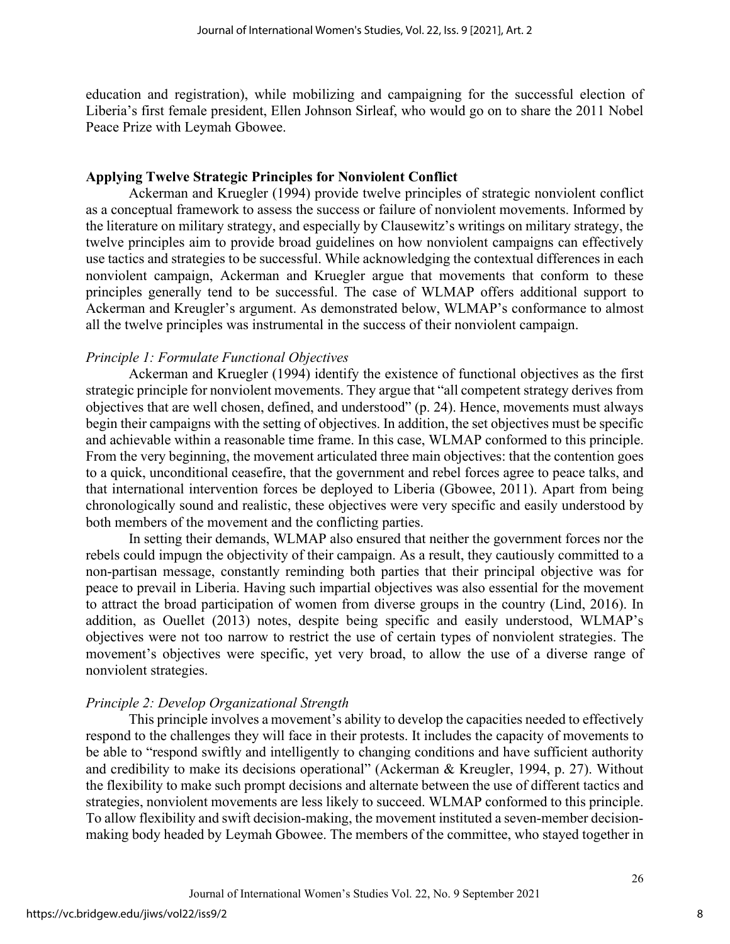education and registration), while mobilizing and campaigning for the successful election of Liberia's first female president, Ellen Johnson Sirleaf, who would go on to share the 2011 Nobel Peace Prize with Leymah Gbowee.

#### **Applying Twelve Strategic Principles for Nonviolent Conflict**

Ackerman and Kruegler (1994) provide twelve principles of strategic nonviolent conflict as a conceptual framework to assess the success or failure of nonviolent movements. Informed by the literature on military strategy, and especially by Clausewitz's writings on military strategy, the twelve principles aim to provide broad guidelines on how nonviolent campaigns can effectively use tactics and strategies to be successful. While acknowledging the contextual differences in each nonviolent campaign, Ackerman and Kruegler argue that movements that conform to these principles generally tend to be successful. The case of WLMAP offers additional support to Ackerman and Kreugler's argument. As demonstrated below, WLMAP's conformance to almost all the twelve principles was instrumental in the success of their nonviolent campaign.

## *Principle 1: Formulate Functional Objectives*

Ackerman and Kruegler (1994) identify the existence of functional objectives as the first strategic principle for nonviolent movements. They argue that "all competent strategy derives from objectives that are well chosen, defined, and understood" (p. 24). Hence, movements must always begin their campaigns with the setting of objectives. In addition, the set objectives must be specific and achievable within a reasonable time frame. In this case, WLMAP conformed to this principle. From the very beginning, the movement articulated three main objectives: that the contention goes to a quick, unconditional ceasefire, that the government and rebel forces agree to peace talks, and that international intervention forces be deployed to Liberia (Gbowee, 2011). Apart from being chronologically sound and realistic, these objectives were very specific and easily understood by both members of the movement and the conflicting parties.

In setting their demands, WLMAP also ensured that neither the government forces nor the rebels could impugn the objectivity of their campaign. As a result, they cautiously committed to a non-partisan message, constantly reminding both parties that their principal objective was for peace to prevail in Liberia. Having such impartial objectives was also essential for the movement to attract the broad participation of women from diverse groups in the country (Lind, 2016). In addition, as Ouellet (2013) notes, despite being specific and easily understood, WLMAP's objectives were not too narrow to restrict the use of certain types of nonviolent strategies. The movement's objectives were specific, yet very broad, to allow the use of a diverse range of nonviolent strategies.

## *Principle 2: Develop Organizational Strength*

This principle involves a movement's ability to develop the capacities needed to effectively respond to the challenges they will face in their protests. It includes the capacity of movements to be able to "respond swiftly and intelligently to changing conditions and have sufficient authority and credibility to make its decisions operational" (Ackerman & Kreugler, 1994, p. 27). Without the flexibility to make such prompt decisions and alternate between the use of different tactics and strategies, nonviolent movements are less likely to succeed. WLMAP conformed to this principle. To allow flexibility and swift decision-making, the movement instituted a seven-member decisionmaking body headed by Leymah Gbowee. The members of the committee, who stayed together in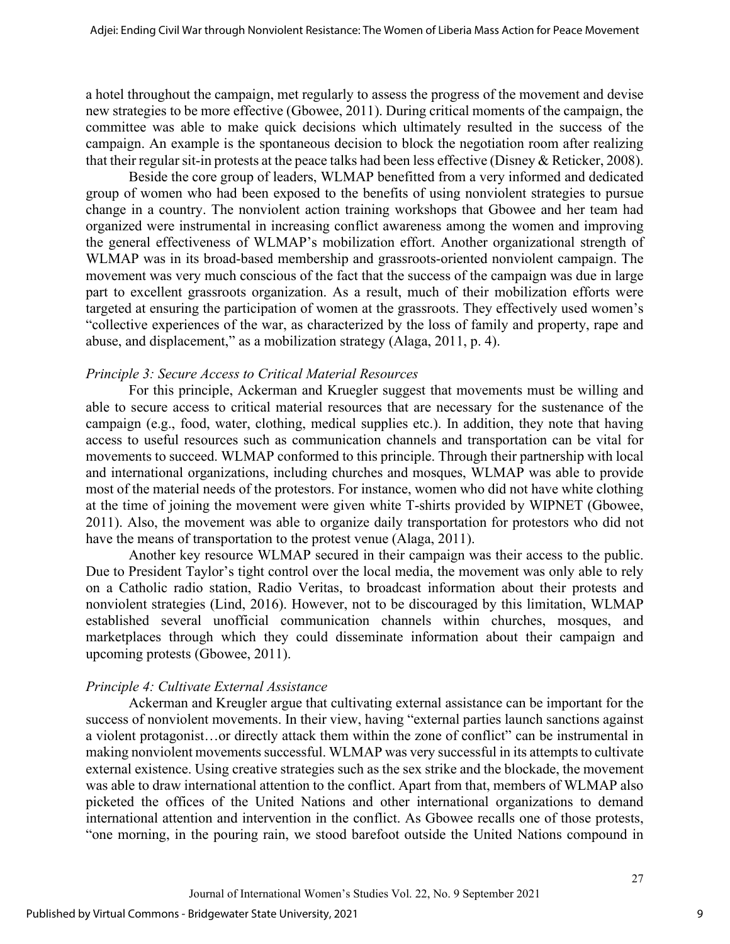a hotel throughout the campaign, met regularly to assess the progress of the movement and devise new strategies to be more effective (Gbowee, 2011). During critical moments of the campaign, the committee was able to make quick decisions which ultimately resulted in the success of the campaign. An example is the spontaneous decision to block the negotiation room after realizing that their regular sit-in protests at the peace talks had been less effective (Disney & Reticker, 2008).

Beside the core group of leaders, WLMAP benefitted from a very informed and dedicated group of women who had been exposed to the benefits of using nonviolent strategies to pursue change in a country. The nonviolent action training workshops that Gbowee and her team had organized were instrumental in increasing conflict awareness among the women and improving the general effectiveness of WLMAP's mobilization effort. Another organizational strength of WLMAP was in its broad-based membership and grassroots-oriented nonviolent campaign. The movement was very much conscious of the fact that the success of the campaign was due in large part to excellent grassroots organization. As a result, much of their mobilization efforts were targeted at ensuring the participation of women at the grassroots. They effectively used women's "collective experiences of the war, as characterized by the loss of family and property, rape and abuse, and displacement," as a mobilization strategy (Alaga, 2011, p. 4).

## *Principle 3: Secure Access to Critical Material Resources*

For this principle, Ackerman and Kruegler suggest that movements must be willing and able to secure access to critical material resources that are necessary for the sustenance of the campaign (e.g., food, water, clothing, medical supplies etc.). In addition, they note that having access to useful resources such as communication channels and transportation can be vital for movements to succeed. WLMAP conformed to this principle. Through their partnership with local and international organizations, including churches and mosques, WLMAP was able to provide most of the material needs of the protestors. For instance, women who did not have white clothing at the time of joining the movement were given white T-shirts provided by WIPNET (Gbowee, 2011). Also, the movement was able to organize daily transportation for protestors who did not have the means of transportation to the protest venue (Alaga, 2011).

Another key resource WLMAP secured in their campaign was their access to the public. Due to President Taylor's tight control over the local media, the movement was only able to rely on a Catholic radio station, Radio Veritas, to broadcast information about their protests and nonviolent strategies (Lind, 2016). However, not to be discouraged by this limitation, WLMAP established several unofficial communication channels within churches, mosques, and marketplaces through which they could disseminate information about their campaign and upcoming protests (Gbowee, 2011).

## *Principle 4: Cultivate External Assistance*

Ackerman and Kreugler argue that cultivating external assistance can be important for the success of nonviolent movements. In their view, having "external parties launch sanctions against a violent protagonist…or directly attack them within the zone of conflict" can be instrumental in making nonviolent movements successful. WLMAP was very successful in its attempts to cultivate external existence. Using creative strategies such as the sex strike and the blockade, the movement was able to draw international attention to the conflict. Apart from that, members of WLMAP also picketed the offices of the United Nations and other international organizations to demand international attention and intervention in the conflict. As Gbowee recalls one of those protests, "one morning, in the pouring rain, we stood barefoot outside the United Nations compound in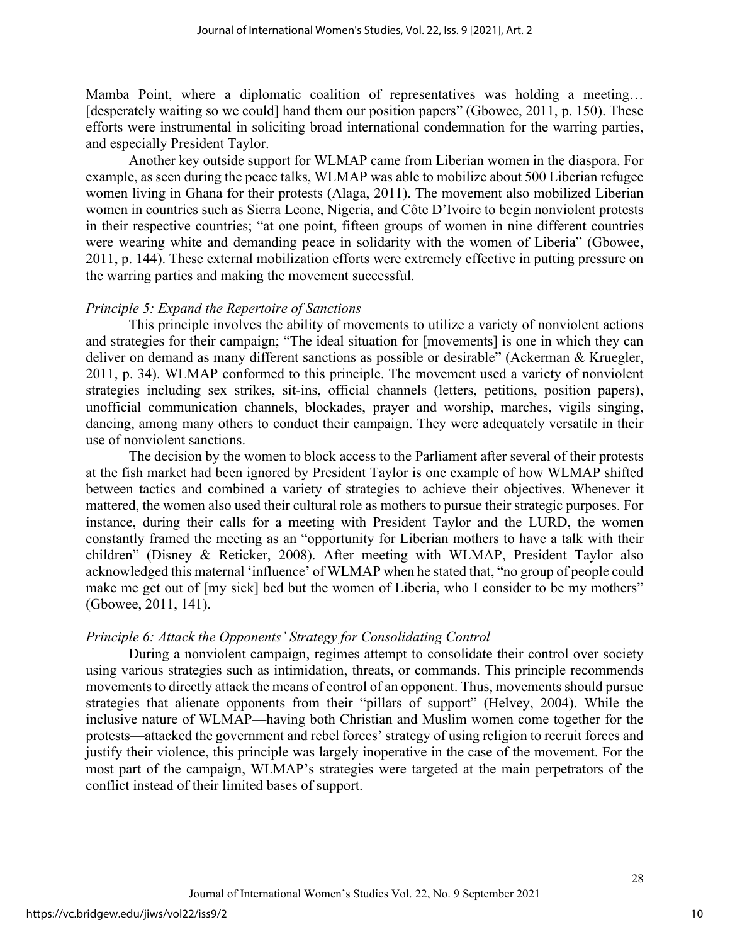Mamba Point, where a diplomatic coalition of representatives was holding a meeting… [desperately waiting so we could] hand them our position papers" (Gbowee, 2011, p. 150). These efforts were instrumental in soliciting broad international condemnation for the warring parties, and especially President Taylor.

Another key outside support for WLMAP came from Liberian women in the diaspora. For example, as seen during the peace talks, WLMAP was able to mobilize about 500 Liberian refugee women living in Ghana for their protests (Alaga, 2011). The movement also mobilized Liberian women in countries such as Sierra Leone, Nigeria, and Côte D'Ivoire to begin nonviolent protests in their respective countries; "at one point, fifteen groups of women in nine different countries were wearing white and demanding peace in solidarity with the women of Liberia" (Gbowee, 2011, p. 144). These external mobilization efforts were extremely effective in putting pressure on the warring parties and making the movement successful.

#### *Principle 5: Expand the Repertoire of Sanctions*

This principle involves the ability of movements to utilize a variety of nonviolent actions and strategies for their campaign; "The ideal situation for [movements] is one in which they can deliver on demand as many different sanctions as possible or desirable" (Ackerman & Kruegler, 2011, p. 34). WLMAP conformed to this principle. The movement used a variety of nonviolent strategies including sex strikes, sit-ins, official channels (letters, petitions, position papers), unofficial communication channels, blockades, prayer and worship, marches, vigils singing, dancing, among many others to conduct their campaign. They were adequately versatile in their use of nonviolent sanctions.

The decision by the women to block access to the Parliament after several of their protests at the fish market had been ignored by President Taylor is one example of how WLMAP shifted between tactics and combined a variety of strategies to achieve their objectives. Whenever it mattered, the women also used their cultural role as mothers to pursue their strategic purposes. For instance, during their calls for a meeting with President Taylor and the LURD, the women constantly framed the meeting as an "opportunity for Liberian mothers to have a talk with their children" (Disney & Reticker, 2008). After meeting with WLMAP, President Taylor also acknowledged this maternal 'influence' of WLMAP when he stated that, "no group of people could make me get out of  $[my \text{ sick}]$  bed but the women of Liberia, who I consider to be my mothers" (Gbowee, 2011, 141).

#### *Principle 6: Attack the Opponents' Strategy for Consolidating Control*

During a nonviolent campaign, regimes attempt to consolidate their control over society using various strategies such as intimidation, threats, or commands. This principle recommends movements to directly attack the means of control of an opponent. Thus, movements should pursue strategies that alienate opponents from their "pillars of support" (Helvey, 2004). While the inclusive nature of WLMAP—having both Christian and Muslim women come together for the protests—attacked the government and rebel forces' strategy of using religion to recruit forces and justify their violence, this principle was largely inoperative in the case of the movement. For the most part of the campaign, WLMAP's strategies were targeted at the main perpetrators of the conflict instead of their limited bases of support.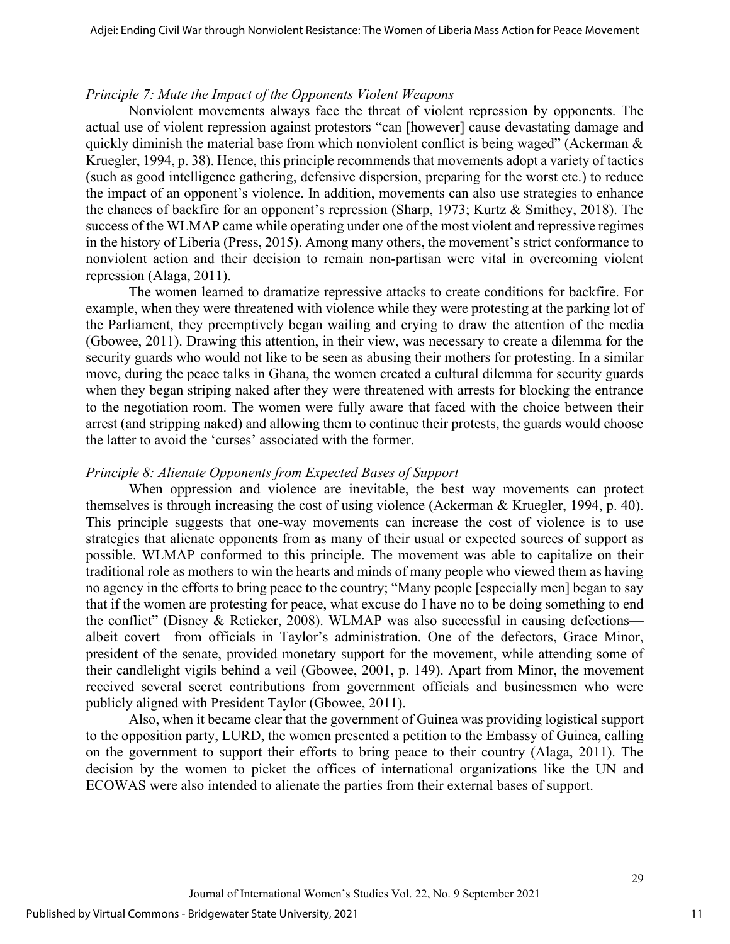#### *Principle 7: Mute the Impact of the Opponents Violent Weapons*

Nonviolent movements always face the threat of violent repression by opponents. The actual use of violent repression against protestors "can [however] cause devastating damage and quickly diminish the material base from which nonviolent conflict is being waged" (Ackerman & Kruegler, 1994, p. 38). Hence, this principle recommends that movements adopt a variety of tactics (such as good intelligence gathering, defensive dispersion, preparing for the worst etc.) to reduce the impact of an opponent's violence. In addition, movements can also use strategies to enhance the chances of backfire for an opponent's repression (Sharp, 1973; Kurtz & Smithey, 2018). The success of the WLMAP came while operating under one of the most violent and repressive regimes in the history of Liberia (Press, 2015). Among many others, the movement's strict conformance to nonviolent action and their decision to remain non-partisan were vital in overcoming violent repression (Alaga, 2011).

The women learned to dramatize repressive attacks to create conditions for backfire. For example, when they were threatened with violence while they were protesting at the parking lot of the Parliament, they preemptively began wailing and crying to draw the attention of the media (Gbowee, 2011). Drawing this attention, in their view, was necessary to create a dilemma for the security guards who would not like to be seen as abusing their mothers for protesting. In a similar move, during the peace talks in Ghana, the women created a cultural dilemma for security guards when they began striping naked after they were threatened with arrests for blocking the entrance to the negotiation room. The women were fully aware that faced with the choice between their arrest (and stripping naked) and allowing them to continue their protests, the guards would choose the latter to avoid the 'curses' associated with the former.

#### *Principle 8: Alienate Opponents from Expected Bases of Support*

When oppression and violence are inevitable, the best way movements can protect themselves is through increasing the cost of using violence (Ackerman & Kruegler, 1994, p. 40). This principle suggests that one-way movements can increase the cost of violence is to use strategies that alienate opponents from as many of their usual or expected sources of support as possible. WLMAP conformed to this principle. The movement was able to capitalize on their traditional role as mothers to win the hearts and minds of many people who viewed them as having no agency in the efforts to bring peace to the country; "Many people [especially men] began to say that if the women are protesting for peace, what excuse do I have no to be doing something to end the conflict" (Disney & Reticker, 2008). WLMAP was also successful in causing defections albeit covert—from officials in Taylor's administration. One of the defectors, Grace Minor, president of the senate, provided monetary support for the movement, while attending some of their candlelight vigils behind a veil (Gbowee, 2001, p. 149). Apart from Minor, the movement received several secret contributions from government officials and businessmen who were publicly aligned with President Taylor (Gbowee, 2011).

Also, when it became clear that the government of Guinea was providing logistical support to the opposition party, LURD, the women presented a petition to the Embassy of Guinea, calling on the government to support their efforts to bring peace to their country (Alaga, 2011). The decision by the women to picket the offices of international organizations like the UN and ECOWAS were also intended to alienate the parties from their external bases of support.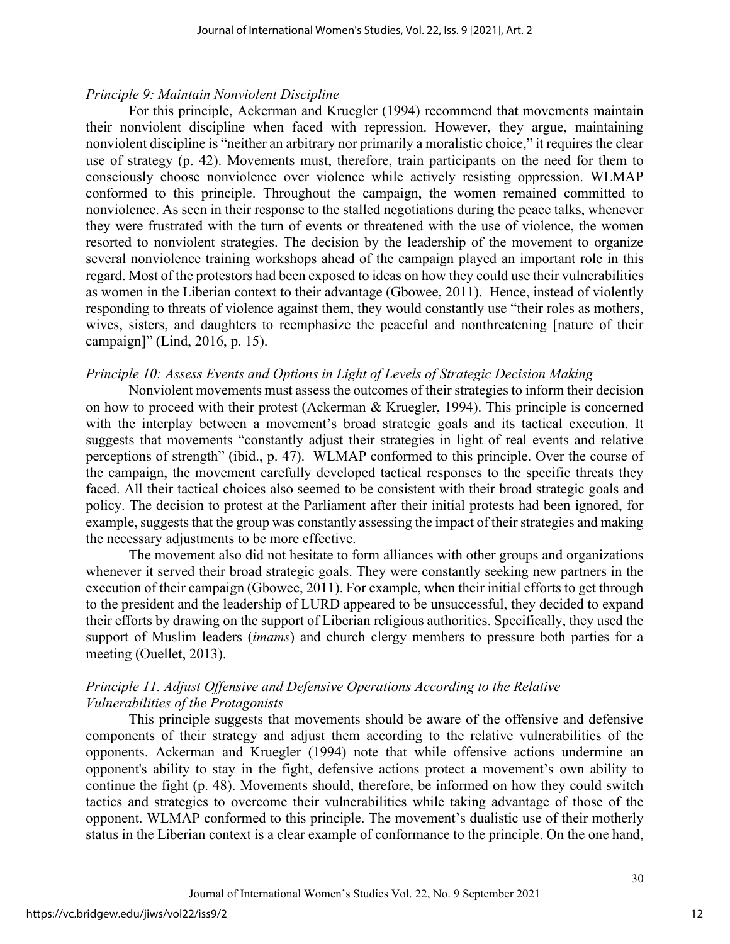#### *Principle 9: Maintain Nonviolent Discipline*

For this principle, Ackerman and Kruegler (1994) recommend that movements maintain their nonviolent discipline when faced with repression. However, they argue, maintaining nonviolent discipline is "neither an arbitrary nor primarily a moralistic choice," it requires the clear use of strategy (p. 42). Movements must, therefore, train participants on the need for them to consciously choose nonviolence over violence while actively resisting oppression. WLMAP conformed to this principle. Throughout the campaign, the women remained committed to nonviolence. As seen in their response to the stalled negotiations during the peace talks, whenever they were frustrated with the turn of events or threatened with the use of violence, the women resorted to nonviolent strategies. The decision by the leadership of the movement to organize several nonviolence training workshops ahead of the campaign played an important role in this regard. Most of the protestors had been exposed to ideas on how they could use their vulnerabilities as women in the Liberian context to their advantage (Gbowee, 2011). Hence, instead of violently responding to threats of violence against them, they would constantly use "their roles as mothers, wives, sisters, and daughters to reemphasize the peaceful and nonthreatening [nature of their campaign]" (Lind, 2016, p. 15).

#### *Principle 10: Assess Events and Options in Light of Levels of Strategic Decision Making*

Nonviolent movements must assess the outcomes of their strategies to inform their decision on how to proceed with their protest (Ackerman & Kruegler, 1994). This principle is concerned with the interplay between a movement's broad strategic goals and its tactical execution. It suggests that movements "constantly adjust their strategies in light of real events and relative perceptions of strength" (ibid., p. 47). WLMAP conformed to this principle. Over the course of the campaign, the movement carefully developed tactical responses to the specific threats they faced. All their tactical choices also seemed to be consistent with their broad strategic goals and policy. The decision to protest at the Parliament after their initial protests had been ignored, for example, suggests that the group was constantly assessing the impact of their strategies and making the necessary adjustments to be more effective.

The movement also did not hesitate to form alliances with other groups and organizations whenever it served their broad strategic goals. They were constantly seeking new partners in the execution of their campaign (Gbowee, 2011). For example, when their initial efforts to get through to the president and the leadership of LURD appeared to be unsuccessful, they decided to expand their efforts by drawing on the support of Liberian religious authorities. Specifically, they used the support of Muslim leaders (*imams*) and church clergy members to pressure both parties for a meeting (Ouellet, 2013).

## *Principle 11. Adjust Offensive and Defensive Operations According to the Relative Vulnerabilities of the Protagonists*

This principle suggests that movements should be aware of the offensive and defensive components of their strategy and adjust them according to the relative vulnerabilities of the opponents. Ackerman and Kruegler (1994) note that while offensive actions undermine an opponent's ability to stay in the fight, defensive actions protect a movement's own ability to continue the fight (p. 48). Movements should, therefore, be informed on how they could switch tactics and strategies to overcome their vulnerabilities while taking advantage of those of the opponent. WLMAP conformed to this principle. The movement's dualistic use of their motherly status in the Liberian context is a clear example of conformance to the principle. On the one hand,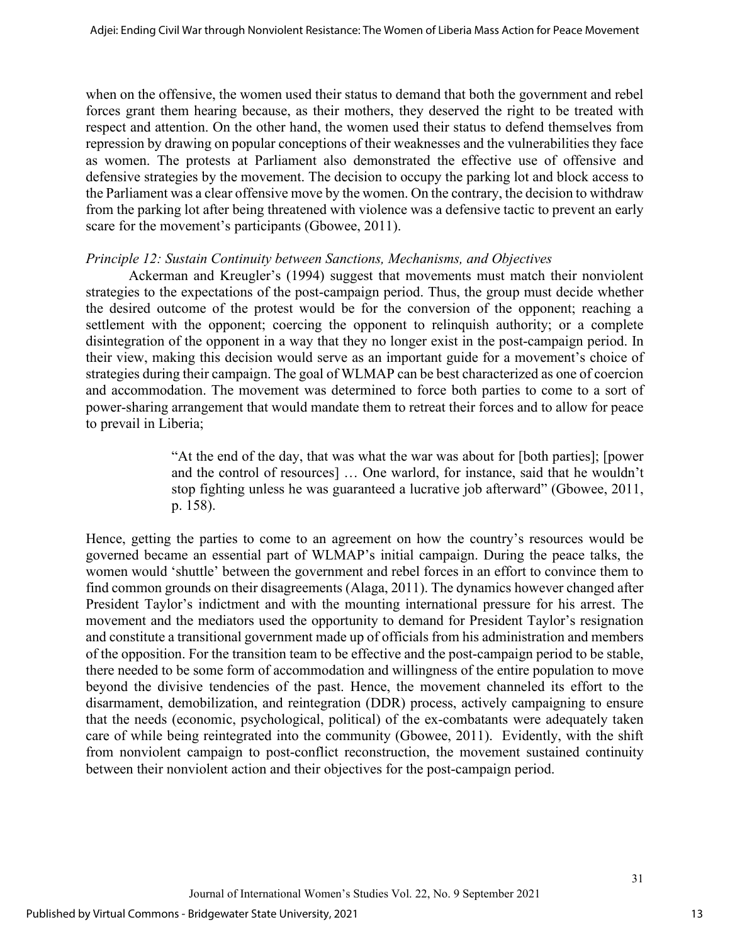when on the offensive, the women used their status to demand that both the government and rebel forces grant them hearing because, as their mothers, they deserved the right to be treated with respect and attention. On the other hand, the women used their status to defend themselves from repression by drawing on popular conceptions of their weaknesses and the vulnerabilities they face as women. The protests at Parliament also demonstrated the effective use of offensive and defensive strategies by the movement. The decision to occupy the parking lot and block access to the Parliament was a clear offensive move by the women. On the contrary, the decision to withdraw from the parking lot after being threatened with violence was a defensive tactic to prevent an early scare for the movement's participants (Gbowee, 2011).

#### *Principle 12: Sustain Continuity between Sanctions, Mechanisms, and Objectives*

Ackerman and Kreugler's (1994) suggest that movements must match their nonviolent strategies to the expectations of the post-campaign period. Thus, the group must decide whether the desired outcome of the protest would be for the conversion of the opponent; reaching a settlement with the opponent; coercing the opponent to relinquish authority; or a complete disintegration of the opponent in a way that they no longer exist in the post-campaign period. In their view, making this decision would serve as an important guide for a movement's choice of strategies during their campaign. The goal of WLMAP can be best characterized as one of coercion and accommodation. The movement was determined to force both parties to come to a sort of power-sharing arrangement that would mandate them to retreat their forces and to allow for peace to prevail in Liberia;

> "At the end of the day, that was what the war was about for [both parties]; [power and the control of resources] … One warlord, for instance, said that he wouldn't stop fighting unless he was guaranteed a lucrative job afterward" (Gbowee, 2011, p. 158).

Hence, getting the parties to come to an agreement on how the country's resources would be governed became an essential part of WLMAP's initial campaign. During the peace talks, the women would 'shuttle' between the government and rebel forces in an effort to convince them to find common grounds on their disagreements (Alaga, 2011). The dynamics however changed after President Taylor's indictment and with the mounting international pressure for his arrest. The movement and the mediators used the opportunity to demand for President Taylor's resignation and constitute a transitional government made up of officials from his administration and members of the opposition. For the transition team to be effective and the post-campaign period to be stable, there needed to be some form of accommodation and willingness of the entire population to move beyond the divisive tendencies of the past. Hence, the movement channeled its effort to the disarmament, demobilization, and reintegration (DDR) process, actively campaigning to ensure that the needs (economic, psychological, political) of the ex-combatants were adequately taken care of while being reintegrated into the community (Gbowee, 2011). Evidently, with the shift from nonviolent campaign to post-conflict reconstruction, the movement sustained continuity between their nonviolent action and their objectives for the post-campaign period.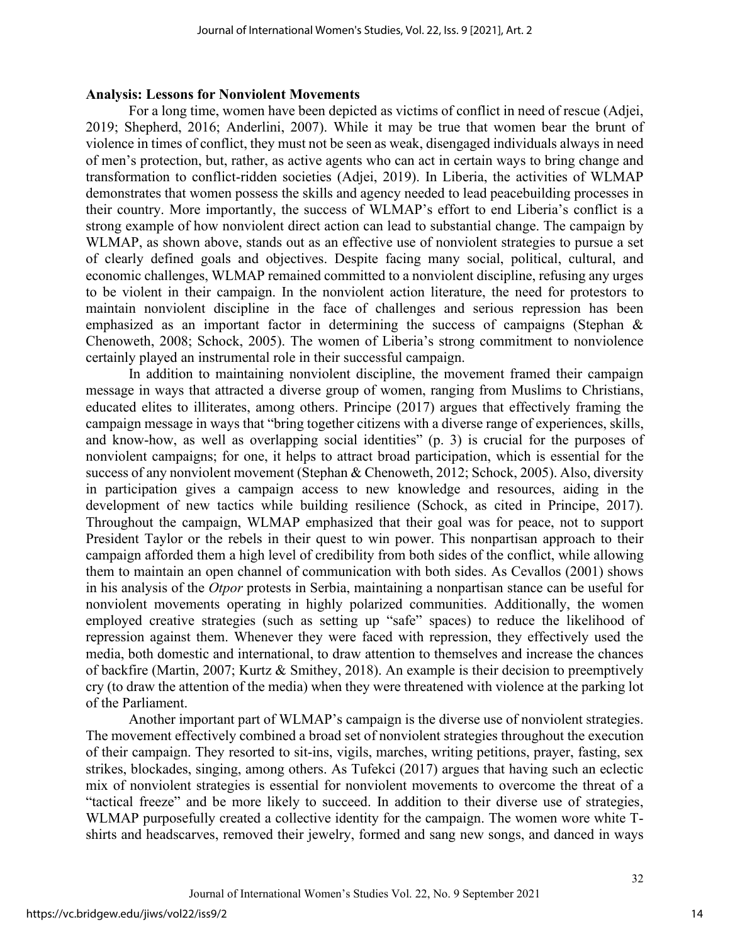#### **Analysis: Lessons for Nonviolent Movements**

For a long time, women have been depicted as victims of conflict in need of rescue (Adjei, 2019; Shepherd, 2016; Anderlini, 2007). While it may be true that women bear the brunt of violence in times of conflict, they must not be seen as weak, disengaged individuals always in need of men's protection, but, rather, as active agents who can act in certain ways to bring change and transformation to conflict-ridden societies (Adjei, 2019). In Liberia, the activities of WLMAP demonstrates that women possess the skills and agency needed to lead peacebuilding processes in their country. More importantly, the success of WLMAP's effort to end Liberia's conflict is a strong example of how nonviolent direct action can lead to substantial change. The campaign by WLMAP, as shown above, stands out as an effective use of nonviolent strategies to pursue a set of clearly defined goals and objectives. Despite facing many social, political, cultural, and economic challenges, WLMAP remained committed to a nonviolent discipline, refusing any urges to be violent in their campaign. In the nonviolent action literature, the need for protestors to maintain nonviolent discipline in the face of challenges and serious repression has been emphasized as an important factor in determining the success of campaigns (Stephan & Chenoweth, 2008; Schock, 2005). The women of Liberia's strong commitment to nonviolence certainly played an instrumental role in their successful campaign.

In addition to maintaining nonviolent discipline, the movement framed their campaign message in ways that attracted a diverse group of women, ranging from Muslims to Christians, educated elites to illiterates, among others. Principe (2017) argues that effectively framing the campaign message in ways that "bring together citizens with a diverse range of experiences, skills, and know-how, as well as overlapping social identities" (p. 3) is crucial for the purposes of nonviolent campaigns; for one, it helps to attract broad participation, which is essential for the success of any nonviolent movement (Stephan & Chenoweth, 2012; Schock, 2005). Also, diversity in participation gives a campaign access to new knowledge and resources, aiding in the development of new tactics while building resilience (Schock, as cited in Principe, 2017). Throughout the campaign, WLMAP emphasized that their goal was for peace, not to support President Taylor or the rebels in their quest to win power. This nonpartisan approach to their campaign afforded them a high level of credibility from both sides of the conflict, while allowing them to maintain an open channel of communication with both sides. As Cevallos (2001) shows in his analysis of the *Otpor* protests in Serbia, maintaining a nonpartisan stance can be useful for nonviolent movements operating in highly polarized communities. Additionally, the women employed creative strategies (such as setting up "safe" spaces) to reduce the likelihood of repression against them. Whenever they were faced with repression, they effectively used the media, both domestic and international, to draw attention to themselves and increase the chances of backfire (Martin, 2007; Kurtz & Smithey, 2018). An example is their decision to preemptively cry (to draw the attention of the media) when they were threatened with violence at the parking lot of the Parliament.

Another important part of WLMAP's campaign is the diverse use of nonviolent strategies. The movement effectively combined a broad set of nonviolent strategies throughout the execution of their campaign. They resorted to sit-ins, vigils, marches, writing petitions, prayer, fasting, sex strikes, blockades, singing, among others. As Tufekci (2017) argues that having such an eclectic mix of nonviolent strategies is essential for nonviolent movements to overcome the threat of a "tactical freeze" and be more likely to succeed. In addition to their diverse use of strategies, WLMAP purposefully created a collective identity for the campaign. The women wore white Tshirts and headscarves, removed their jewelry, formed and sang new songs, and danced in ways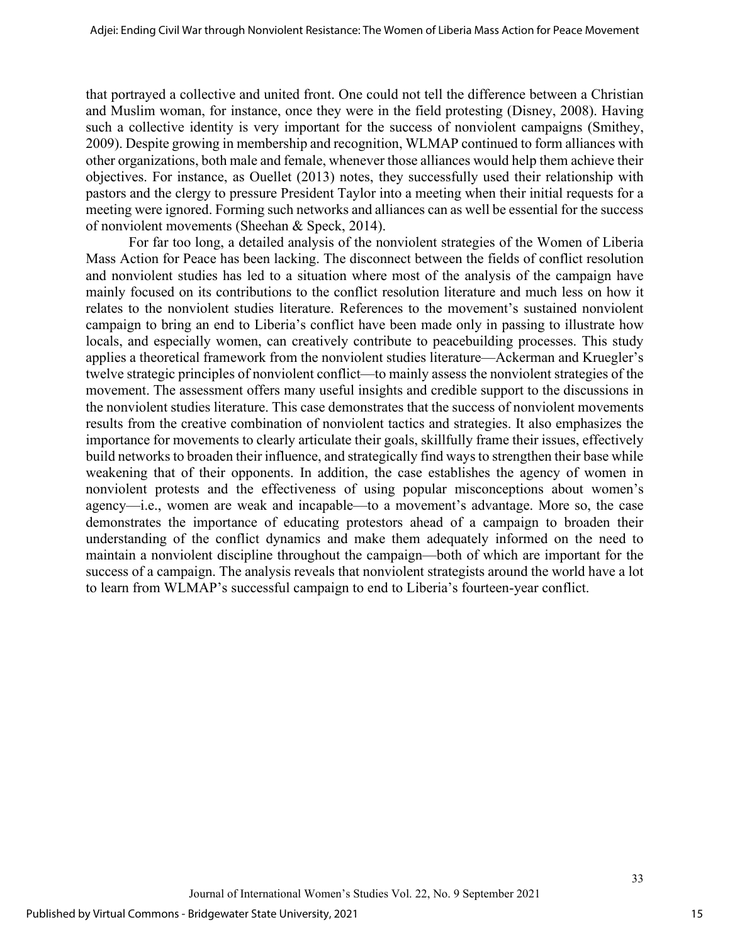that portrayed a collective and united front. One could not tell the difference between a Christian and Muslim woman, for instance, once they were in the field protesting (Disney, 2008). Having such a collective identity is very important for the success of nonviolent campaigns (Smithey, 2009). Despite growing in membership and recognition, WLMAP continued to form alliances with other organizations, both male and female, whenever those alliances would help them achieve their objectives. For instance, as Ouellet (2013) notes, they successfully used their relationship with pastors and the clergy to pressure President Taylor into a meeting when their initial requests for a meeting were ignored. Forming such networks and alliances can as well be essential for the success of nonviolent movements (Sheehan & Speck, 2014).

For far too long, a detailed analysis of the nonviolent strategies of the Women of Liberia Mass Action for Peace has been lacking. The disconnect between the fields of conflict resolution and nonviolent studies has led to a situation where most of the analysis of the campaign have mainly focused on its contributions to the conflict resolution literature and much less on how it relates to the nonviolent studies literature. References to the movement's sustained nonviolent campaign to bring an end to Liberia's conflict have been made only in passing to illustrate how locals, and especially women, can creatively contribute to peacebuilding processes. This study applies a theoretical framework from the nonviolent studies literature—Ackerman and Kruegler's twelve strategic principles of nonviolent conflict—to mainly assess the nonviolent strategies of the movement. The assessment offers many useful insights and credible support to the discussions in the nonviolent studies literature. This case demonstrates that the success of nonviolent movements results from the creative combination of nonviolent tactics and strategies. It also emphasizes the importance for movements to clearly articulate their goals, skillfully frame their issues, effectively build networks to broaden their influence, and strategically find ways to strengthen their base while weakening that of their opponents. In addition, the case establishes the agency of women in nonviolent protests and the effectiveness of using popular misconceptions about women's agency—i.e., women are weak and incapable—to a movement's advantage. More so, the case demonstrates the importance of educating protestors ahead of a campaign to broaden their understanding of the conflict dynamics and make them adequately informed on the need to maintain a nonviolent discipline throughout the campaign—both of which are important for the success of a campaign. The analysis reveals that nonviolent strategists around the world have a lot to learn from WLMAP's successful campaign to end to Liberia's fourteen-year conflict.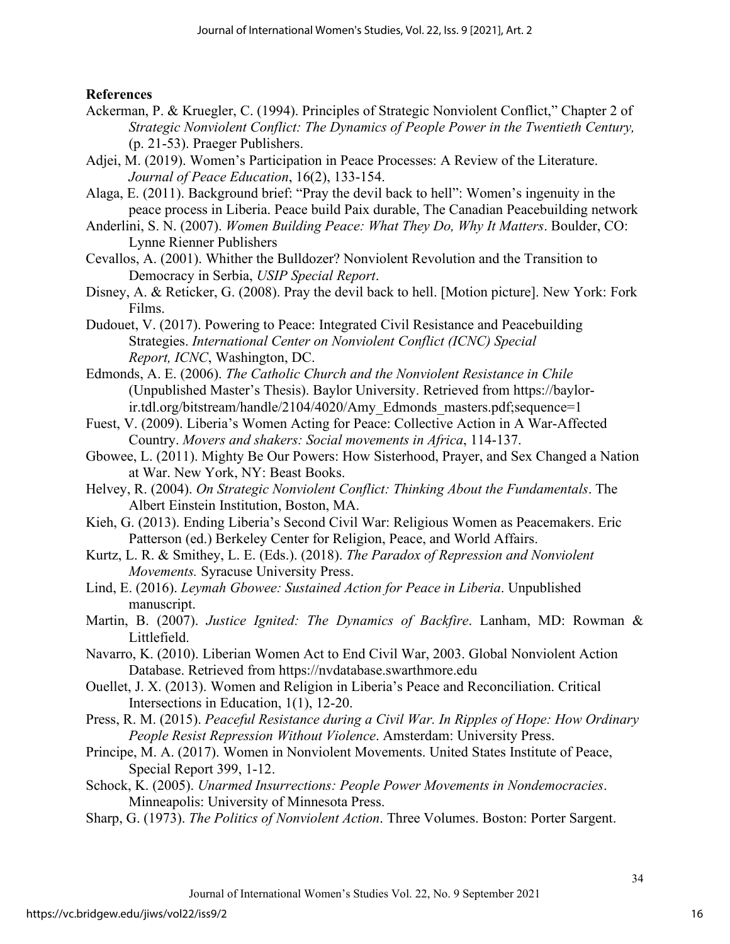## **References**

- Ackerman, P. & Kruegler, C. (1994). Principles of Strategic Nonviolent Conflict," Chapter 2 of *Strategic Nonviolent Conflict: The Dynamics of People Power in the Twentieth Century,*  (p. 21-53). Praeger Publishers.
- Adjei, M. (2019). Women's Participation in Peace Processes: A Review of the Literature. *Journal of Peace Education*, 16(2), 133-154.
- Alaga, E. (2011). Background brief: "Pray the devil back to hell": Women's ingenuity in the peace process in Liberia. Peace build Paix durable, The Canadian Peacebuilding network
- Anderlini, S. N. (2007). *Women Building Peace: What They Do, Why It Matters*. Boulder, CO: Lynne Rienner Publishers
- Cevallos, A. (2001). Whither the Bulldozer? Nonviolent Revolution and the Transition to Democracy in Serbia, *USIP Special Report*.
- Disney, A. & Reticker, G. (2008). Pray the devil back to hell. [Motion picture]. New York: Fork Films.
- Dudouet, V. (2017). Powering to Peace: Integrated Civil Resistance and Peacebuilding Strategies. *International Center on Nonviolent Conflict (ICNC) Special Report, ICNC*, Washington, DC.
- Edmonds, A. E. (2006). *The Catholic Church and the Nonviolent Resistance in Chile* (Unpublished Master's Thesis). Baylor University. Retrieved from https://baylorir.tdl.org/bitstream/handle/2104/4020/Amy\_Edmonds\_masters.pdf;sequence=1
- Fuest, V. (2009). Liberia's Women Acting for Peace: Collective Action in A War-Affected Country. *Movers and shakers: Social movements in Africa*, 114-137.
- Gbowee, L. (2011). Mighty Be Our Powers: How Sisterhood, Prayer, and Sex Changed a Nation at War. New York, NY: Beast Books.
- Helvey, R. (2004). *On Strategic Nonviolent Conflict: Thinking About the Fundamentals*. The Albert Einstein Institution, Boston, MA.
- Kieh, G. (2013). Ending Liberia's Second Civil War: Religious Women as Peacemakers. Eric Patterson (ed.) Berkeley Center for Religion, Peace, and World Affairs.
- Kurtz, L. R. & Smithey, L. E. (Eds.). (2018). *The Paradox of Repression and Nonviolent Movements.* Syracuse University Press.
- Lind, E. (2016). *Leymah Gbowee: Sustained Action for Peace in Liberia*. Unpublished manuscript.
- Martin, B. (2007). *Justice Ignited: The Dynamics of Backfire*. Lanham, MD: Rowman & Littlefield.
- Navarro, K. (2010). Liberian Women Act to End Civil War, 2003. Global Nonviolent Action Database. Retrieved from [https://nvdatabase.swarthmore.edu](https://nvdatabase.swarthmore.edu/)
- Ouellet, J. X. (2013). Women and Religion in Liberia's Peace and Reconciliation. Critical Intersections in Education, 1(1), 12-20.
- Press, R. M. (2015). *Peaceful Resistance during a Civil War. In Ripples of Hope: How Ordinary People Resist Repression Without Violence*. Amsterdam: University Press.
- Principe, M. A. (2017). Women in Nonviolent Movements. United States Institute of Peace, Special Report 399, 1-12.
- Schock, K. (2005). *Unarmed Insurrections: People Power Movements in Nondemocracies*. Minneapolis: University of Minnesota Press.
- Sharp, G. (1973). *The Politics of Nonviolent Action*. Three Volumes. Boston: Porter Sargent.